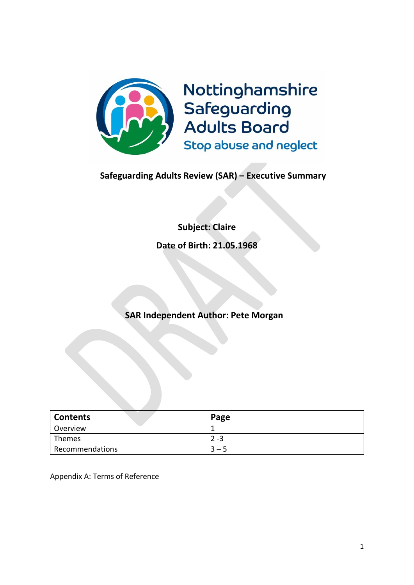

# **Safeguarding Adults Review (SAR) – Executive Summary**

# **Subject: Claire**

**Date of Birth: 21.05.1968**

# **SAR Independent Author: Pete Morgan**

| <b>Contents</b> | Page    |
|-----------------|---------|
| Overview        |         |
| Themes          | $2 - 3$ |
| Recommendations | $-5$    |

Appendix A: Terms of Reference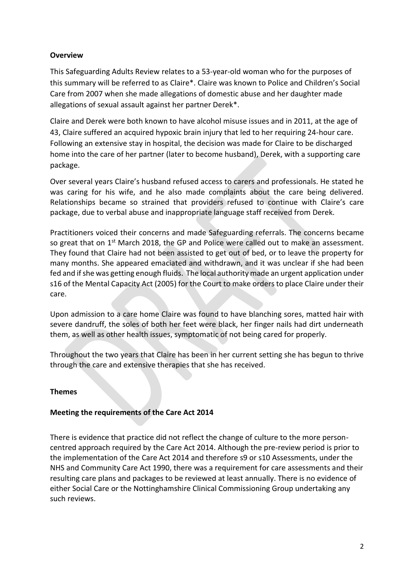# **Overview**

This Safeguarding Adults Review relates to a 53-year-old woman who for the purposes of this summary will be referred to as Claire\*. Claire was known to Police and Children's Social Care from 2007 when she made allegations of domestic abuse and her daughter made allegations of sexual assault against her partner Derek\*.

Claire and Derek were both known to have alcohol misuse issues and in 2011, at the age of 43, Claire suffered an acquired hypoxic brain injury that led to her requiring 24-hour care. Following an extensive stay in hospital, the decision was made for Claire to be discharged home into the care of her partner (later to become husband), Derek, with a supporting care package.

Over several years Claire's husband refused access to carers and professionals. He stated he was caring for his wife, and he also made complaints about the care being delivered. Relationships became so strained that providers refused to continue with Claire's care package, due to verbal abuse and inappropriate language staff received from Derek.

Practitioners voiced their concerns and made Safeguarding referrals. The concerns became so great that on 1<sup>st</sup> March 2018, the GP and Police were called out to make an assessment. They found that Claire had not been assisted to get out of bed, or to leave the property for many months. She appeared emaciated and withdrawn, and it was unclear if she had been fed and if she was getting enough fluids. The local authority made an urgent application under s16 of the Mental Capacity Act (2005) for the Court to make orders to place Claire under their care.

Upon admission to a care home Claire was found to have blanching sores, matted hair with severe dandruff, the soles of both her feet were black, her finger nails had dirt underneath them, as well as other health issues, symptomatic of not being cared for properly.

Throughout the two years that Claire has been in her current setting she has begun to thrive through the care and extensive therapies that she has received.

# **Themes**

# **Meeting the requirements of the Care Act 2014**

There is evidence that practice did not reflect the change of culture to the more personcentred approach required by the Care Act 2014. Although the pre-review period is prior to the implementation of the Care Act 2014 and therefore s9 or s10 Assessments, under the NHS and Community Care Act 1990, there was a requirement for care assessments and their resulting care plans and packages to be reviewed at least annually. There is no evidence of either Social Care or the Nottinghamshire Clinical Commissioning Group undertaking any such reviews.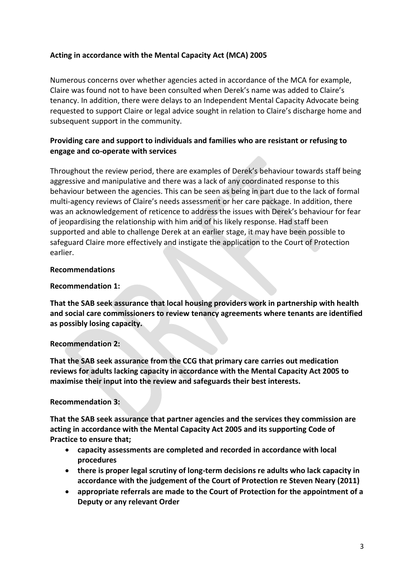# **Acting in accordance with the Mental Capacity Act (MCA) 2005**

Numerous concerns over whether agencies acted in accordance of the MCA for example, Claire was found not to have been consulted when Derek's name was added to Claire's tenancy. In addition, there were delays to an Independent Mental Capacity Advocate being requested to support Claire or legal advice sought in relation to Claire's discharge home and subsequent support in the community.

# **Providing care and support to individuals and families who are resistant or refusing to engage and co-operate with services**

Throughout the review period, there are examples of Derek's behaviour towards staff being aggressive and manipulative and there was a lack of any coordinated response to this behaviour between the agencies. This can be seen as being in part due to the lack of formal multi-agency reviews of Claire's needs assessment or her care package. In addition, there was an acknowledgement of reticence to address the issues with Derek's behaviour for fear of jeopardising the relationship with him and of his likely response. Had staff been supported and able to challenge Derek at an earlier stage, it may have been possible to safeguard Claire more effectively and instigate the application to the Court of Protection earlier.

## **Recommendations**

## **Recommendation 1:**

**That the SAB seek assurance that local housing providers work in partnership with health and social care commissioners to review tenancy agreements where tenants are identified as possibly losing capacity.**

# **Recommendation 2:**

**That the SAB seek assurance from the CCG that primary care carries out medication reviews for adults lacking capacity in accordance with the Mental Capacity Act 2005 to maximise their input into the review and safeguards their best interests.**

# **Recommendation 3:**

**That the SAB seek assurance that partner agencies and the services they commission are acting in accordance with the Mental Capacity Act 2005 and its supporting Code of Practice to ensure that;**

- **capacity assessments are completed and recorded in accordance with local procedures**
- **there is proper legal scrutiny of long-term decisions re adults who lack capacity in accordance with the judgement of the Court of Protection re Steven Neary (2011)**
- **appropriate referrals are made to the Court of Protection for the appointment of a Deputy or any relevant Order**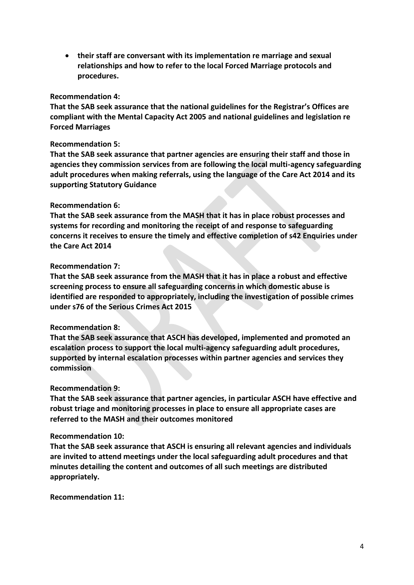• **their staff are conversant with its implementation re marriage and sexual relationships and how to refer to the local Forced Marriage protocols and procedures.**

#### **Recommendation 4:**

**That the SAB seek assurance that the national guidelines for the Registrar's Offices are compliant with the Mental Capacity Act 2005 and national guidelines and legislation re Forced Marriages** 

#### **Recommendation 5:**

**That the SAB seek assurance that partner agencies are ensuring their staff and those in agencies they commission services from are following the local multi-agency safeguarding adult procedures when making referrals, using the language of the Care Act 2014 and its supporting Statutory Guidance**

#### **Recommendation 6:**

**That the SAB seek assurance from the MASH that it has in place robust processes and systems for recording and monitoring the receipt of and response to safeguarding concerns it receives to ensure the timely and effective completion of s42 Enquiries under the Care Act 2014**

#### **Recommendation 7:**

**That the SAB seek assurance from the MASH that it has in place a robust and effective screening process to ensure all safeguarding concerns in which domestic abuse is identified are responded to appropriately, including the investigation of possible crimes under s76 of the Serious Crimes Act 2015**

### **Recommendation 8:**

**That the SAB seek assurance that ASCH has developed, implemented and promoted an escalation process to support the local multi-agency safeguarding adult procedures, supported by internal escalation processes within partner agencies and services they commission**

#### **Recommendation 9:**

**That the SAB seek assurance that partner agencies, in particular ASCH have effective and robust triage and monitoring processes in place to ensure all appropriate cases are referred to the MASH and their outcomes monitored**

#### **Recommendation 10:**

**That the SAB seek assurance that ASCH is ensuring all relevant agencies and individuals are invited to attend meetings under the local safeguarding adult procedures and that minutes detailing the content and outcomes of all such meetings are distributed appropriately.** 

**Recommendation 11:**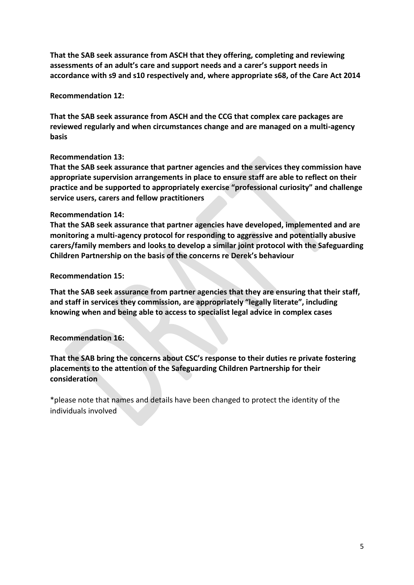**That the SAB seek assurance from ASCH that they offering, completing and reviewing assessments of an adult's care and support needs and a carer's support needs in accordance with s9 and s10 respectively and, where appropriate s68, of the Care Act 2014**

**Recommendation 12:**

**That the SAB seek assurance from ASCH and the CCG that complex care packages are reviewed regularly and when circumstances change and are managed on a multi-agency basis**

# **Recommendation 13:**

**That the SAB seek assurance that partner agencies and the services they commission have appropriate supervision arrangements in place to ensure staff are able to reflect on their practice and be supported to appropriately exercise "professional curiosity" and challenge service users, carers and fellow practitioners**

## **Recommendation 14:**

**That the SAB seek assurance that partner agencies have developed, implemented and are monitoring a multi-agency protocol for responding to aggressive and potentially abusive carers/family members and looks to develop a similar joint protocol with the Safeguarding Children Partnership on the basis of the concerns re Derek's behaviour**

## **Recommendation 15:**

**That the SAB seek assurance from partner agencies that they are ensuring that their staff, and staff in services they commission, are appropriately "legally literate", including knowing when and being able to access to specialist legal advice in complex cases**

### **Recommendation 16:**

**That the SAB bring the concerns about CSC's response to their duties re private fostering placements to the attention of the Safeguarding Children Partnership for their consideration**

\*please note that names and details have been changed to protect the identity of the individuals involved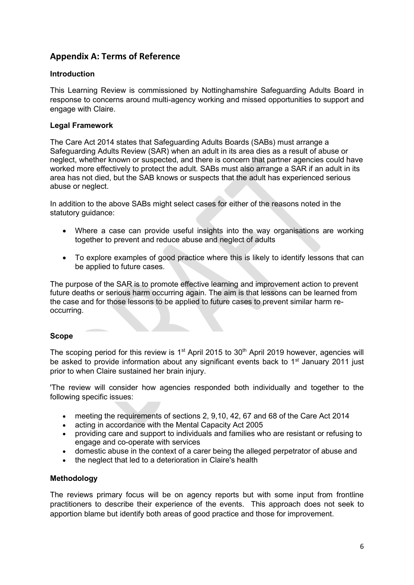# **Appendix A: Terms of Reference**

### **Introduction**

This Learning Review is commissioned by Nottinghamshire Safeguarding Adults Board in response to concerns around multi-agency working and missed opportunities to support and engage with Claire.

### **Legal Framework**

The Care Act 2014 states that Safeguarding Adults Boards (SABs) must arrange a Safeguarding Adults Review (SAR) when an adult in its area dies as a result of abuse or neglect, whether known or suspected, and there is concern that partner agencies could have worked more effectively to protect the adult. SABs must also arrange a SAR if an adult in its area has not died, but the SAB knows or suspects that the adult has experienced serious abuse or neglect.

In addition to the above SABs might select cases for either of the reasons noted in the statutory guidance:

- Where a case can provide useful insights into the way organisations are working together to prevent and reduce abuse and neglect of adults
- To explore examples of good practice where this is likely to identify lessons that can be applied to future cases.

The purpose of the SAR is to promote effective learning and improvement action to prevent future deaths or serious harm occurring again. The aim is that lessons can be learned from the case and for those lessons to be applied to future cases to prevent similar harm reoccurring.

### **Scope**

The scoping period for this review is  $1<sup>st</sup>$  April 2015 to 30<sup>th</sup> April 2019 however, agencies will be asked to provide information about any significant events back to 1<sup>st</sup> January 2011 just prior to when Claire sustained her brain injury.

'The review will consider how agencies responded both individually and together to the following specific issues:

- meeting the requirements of sections 2, 9,10, 42, 67 and 68 of the Care Act 2014
- acting in accordance with the Mental Capacity Act 2005
- providing care and support to individuals and families who are resistant or refusing to engage and co-operate with services
- domestic abuse in the context of a carer being the alleged perpetrator of abuse and
- the neglect that led to a deterioration in Claire's health

### **Methodology**

The reviews primary focus will be on agency reports but with some input from frontline practitioners to describe their experience of the events. This approach does not seek to apportion blame but identify both areas of good practice and those for improvement.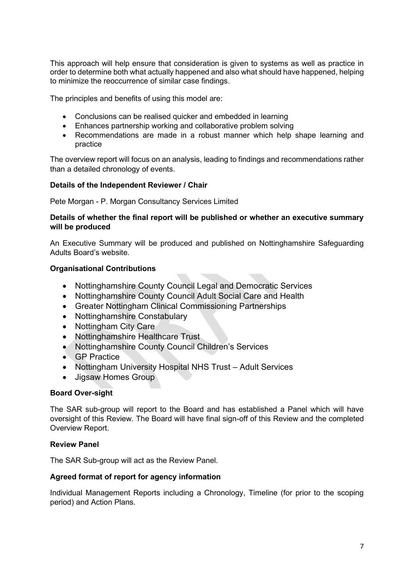This approach will help ensure that consideration is given to systems as well as practice in order to determine both what actually happened and also what should have happened, helping to minimize the reoccurrence of similar case findings.

The principles and benefits of using this model are:

- Conclusions can be realised quicker and embedded in learning
- Enhances partnership working and collaborative problem solving
- Recommendations are made in a robust manner which help shape learning and practice

The overview report will focus on an analysis, leading to findings and recommendations rather than a detailed chronology of events.

## **Details of the Independent Reviewer / Chair**

Pete Morgan - P. Morgan Consultancy Services Limited

### **Details of whether the final report will be published or whether an executive summary will be produced**

An Executive Summary will be produced and published on Nottinghamshire Safeguarding Adults Board's website.

### **Organisational Contributions**

- Nottinghamshire County Council Legal and Democratic Services
- Nottinghamshire County Council Adult Social Care and Health
- Greater Nottingham Clinical Commissioning Partnerships
- Nottinghamshire Constabulary
- Nottingham City Care
- Nottinghamshire Healthcare Trust
- Nottinghamshire County Council Children's Services
- GP Practice
- Nottingham University Hospital NHS Trust Adult Services
- Jigsaw Homes Group

### **Board Over-sight**

The SAR sub-group will report to the Board and has established a Panel which will have oversight of this Review. The Board will have final sign-off of this Review and the completed Overview Report.

### **Review Panel**

The SAR Sub-group will act as the Review Panel.

### **Agreed format of report for agency information**

Individual Management Reports including a Chronology, Timeline (for prior to the scoping period) and Action Plans.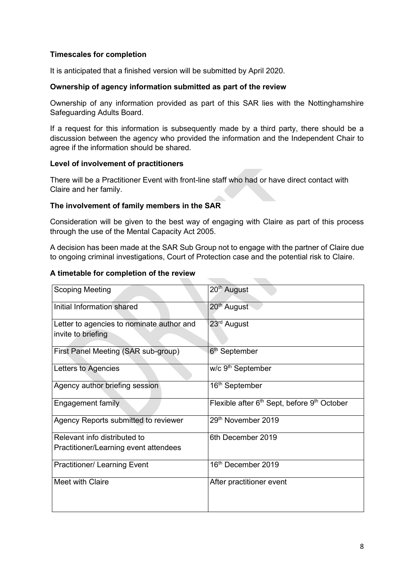### **Timescales for completion**

It is anticipated that a finished version will be submitted by April 2020.

### **Ownership of agency information submitted as part of the review**

Ownership of any information provided as part of this SAR lies with the Nottinghamshire Safeguarding Adults Board.

If a request for this information is subsequently made by a third party, there should be a discussion between the agency who provided the information and the Independent Chair to agree if the information should be shared.

### **Level of involvement of practitioners**

There will be a Practitioner Event with front-line staff who had or have direct contact with Claire and her family.

#### **The involvement of family members in the SAR**

Consideration will be given to the best way of engaging with Claire as part of this process through the use of the Mental Capacity Act 2005.

A decision has been made at the SAR Sub Group not to engage with the partner of Claire due to ongoing criminal investigations, Court of Protection case and the potential risk to Claire.

#### **A timetable for completion of the review**

| <b>Scoping Meeting</b>                                          | 20 <sup>th</sup> August                                             |
|-----------------------------------------------------------------|---------------------------------------------------------------------|
| Initial Information shared                                      | 20 <sup>th</sup> August                                             |
| Letter to agencies to nominate author and<br>invite to briefing | 23 <sup>rd</sup> August                                             |
| First Panel Meeting (SAR sub-group)                             | 6 <sup>th</sup> September                                           |
| Letters to Agencies                                             | w/c 9 <sup>th</sup> September                                       |
| Agency author briefing session                                  | 16 <sup>th</sup> September                                          |
| <b>Engagement family</b>                                        | Flexible after 6 <sup>th</sup> Sept, before 9 <sup>th</sup> October |
| Agency Reports submitted to reviewer                            | 29th November 2019                                                  |
| Relevant info distributed to                                    | 6th December 2019                                                   |
| Practitioner/Learning event attendees                           |                                                                     |
| <b>Practitioner/ Learning Event</b>                             | 16 <sup>th</sup> December 2019                                      |
| Meet with Claire                                                | After practitioner event                                            |